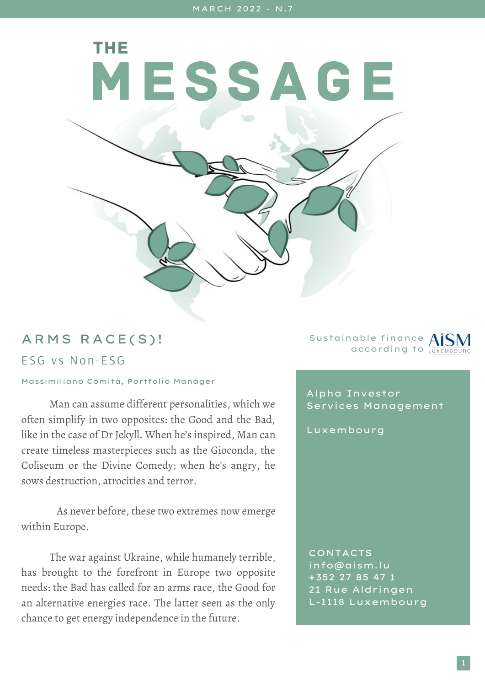MESSAGE

## ARMS RACE(S)!

## ESG vs Non-ESG

## Massimiliano Comità, Portfolio Manager

THE

Man can assume different personalities, which we often simplify in two opposites: the Good and the Bad, like in the case of Dr Jekyll. When he's inspired, Man can create timeless masterpieces such as the Gioconda, the Coliseum or the Divine Comedy; when he's angry, he sows destruction, atrocities and terror.

As never before, these two extremes now emerge within Europe.

The war against Ukraine, while humanely terrible, has brought to the forefront in Europe two opposite needs: the Bad has called for an arms race, the Good for an alternative energies race. The latter seen as the only chance to get energy independence in the future.

Sustainable finance according to

Alpha Investor Services Management

Luxembourg

CONTACTS info@aism.lu +352 27 85 47 1 21 Rue Aldringen L-1118 Luxembourg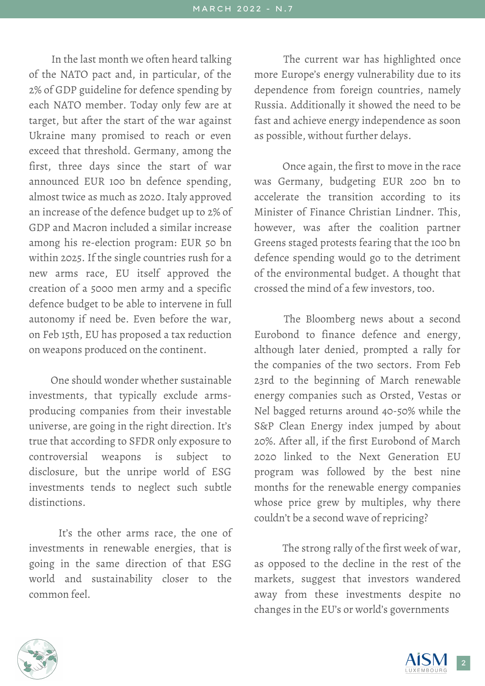In the last month we often heard talking of the NATO pact and, in particular, of the 2% of GDP guideline for defence spending by each NATO member. Today only few are at target, but after the start of the war against Ukraine many promised to reach or even exceed that threshold. Germany, among the first, three days since the start of war announced EUR 100 bn defence spending, almost twice as much as 2020. Italy approved an increase of the defence budget up to 2% of GDP and Macron included a similar increase among his re-election program: EUR 50 bn within 2025. If the single countries rush for a new arms race, EU itself approved the creation of a 5000 men army and a specific defence budget to be able to intervene in full autonomy if need be. Even before the war, on Feb 15th, EU has proposed a tax reduction on weapons produced on the continent.

One should wonder whether sustainable investments, that typically exclude armsproducing companies from their investable universe, are going in the right direction. It's true that according to SFDR only exposure to controversial weapons is subject to disclosure, but the unripe world of ESG investments tends to neglect such subtle distinctions.

It's the other arms race, the one of investments in renewable energies, that is going in the same direction of that ESG world and sustainability closer to the common feel.

The current war has highlighted once more Europe's energy vulnerability due to its dependence from foreign countries, namely Russia. Additionally it showed the need to be fast and achieve energy independence as soon as possible, without further delays.

Once again, the first to move in the race was Germany, budgeting EUR 200 bn to accelerate the transition according to its Minister of Finance Christian Lindner. This, however, was after the coalition partner Greens staged protests fearing that the 100 bn defence spending would go to the detriment of the environmental budget. A thought that crossed the mind of a few investors, too.

The Bloomberg news about a second Eurobond to finance defence and energy, although later denied, prompted a rally for the companies of the two sectors. From Feb 23rd to the beginning of March renewable energy companies such as Orsted, Vestas or Nel bagged returns around 40-50% while the S&P Clean Energy index jumped by about 20%. After all, if the first Eurobond of March 2020 linked to the Next Generation EU program was followed by the best nine months for the renewable energy companies whose price grew by multiples, why there couldn't be a second wave of repricing?

The strong rally of the first week of war, as opposed to the decline in the rest of the markets, suggest that investors wandered away from these investments despite no changes in the EU's or world's governments